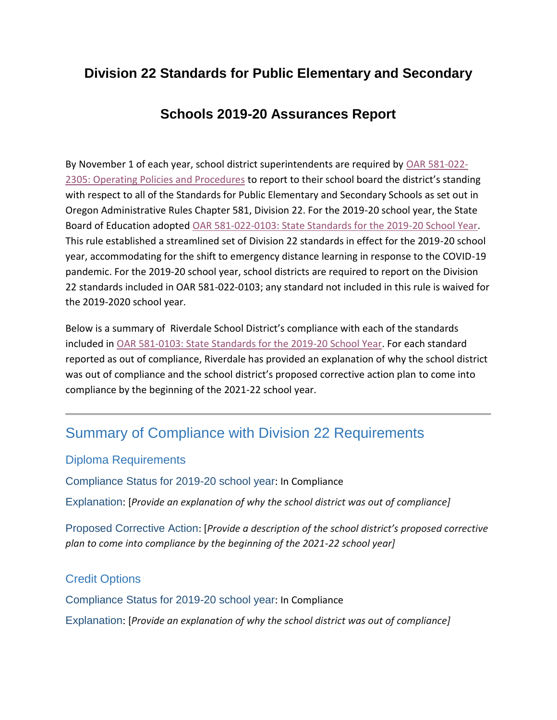# **Division 22 Standards for Public Elementary and Secondary**

# **Schools 2019-20 Assurances Report**

By November 1 of each year, school district superintendents are required by [OAR 581-022-](https://secure.sos.state.or.us/oard/viewSingleRule.action?ruleVrsnRsn=237662) [2305: Operating Policies and Procedures](https://secure.sos.state.or.us/oard/viewSingleRule.action?ruleVrsnRsn=237662) to report to their school board the district's standing with respect to all of the Standards for Public Elementary and Secondary Schools as set out in Oregon Administrative Rules Chapter 581, Division 22. For the 2019-20 school year, the State Board of Education adopted [OAR 581-022-0103: State Standards for the 2019-20 School Year.](https://secure.sos.state.or.us/oard/viewSingleRule.action;JSESSIONID_OARD=zDWSDkRDgLmdLXzE89LuPSDnsLMU0u67xd578zTv7bC9A8G6fUzD!-1442988785?ruleVrsnRsn=271202) This rule established a streamlined set of Division 22 standards in effect for the 2019-20 school year, accommodating for the shift to emergency distance learning in response to the COVID-19 pandemic. For the 2019-20 school year, school districts are required to report on the Division 22 standards included in OAR 581-022-0103; any standard not included in this rule is waived for the 2019-2020 school year.

Below is a summary of Riverdale School District's compliance with each of the standards included in [OAR 581-0103: State Standards for the 2019-20 School Year.](https://secure.sos.state.or.us/oard/viewSingleRule.action;JSESSIONID_OARD=zDWSDkRDgLmdLXzE89LuPSDnsLMU0u67xd578zTv7bC9A8G6fUzD!-1442988785?ruleVrsnRsn=271202) For each standard reported as out of compliance, Riverdale has provided an explanation of why the school district was out of compliance and the school district's proposed corrective action plan to come into compliance by the beginning of the 2021-22 school year.

# Summary of Compliance with Division 22 Requirements

#### Diploma Requirements

Compliance Status for 2019-20 school year: In Compliance

Explanation: [*Provide an explanation of why the school district was out of compliance]*

Proposed Corrective Action: [*Provide a description of the school district's proposed corrective plan to come into compliance by the beginning of the 2021-22 school year]*

## Credit Options

Compliance Status for 2019-20 school year: In Compliance

Explanation: [*Provide an explanation of why the school district was out of compliance]*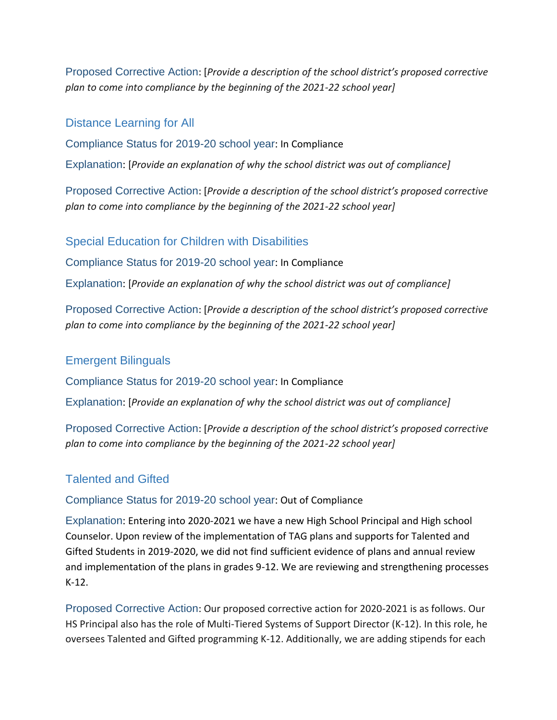Proposed Corrective Action: [*Provide a description of the school district's proposed corrective plan to come into compliance by the beginning of the 2021-22 school year]*

#### Distance Learning for All

Compliance Status for 2019-20 school year: In Compliance

Explanation: [*Provide an explanation of why the school district was out of compliance]*

Proposed Corrective Action: [*Provide a description of the school district's proposed corrective plan to come into compliance by the beginning of the 2021-22 school year]*

#### Special Education for Children with Disabilities

Compliance Status for 2019-20 school year: In Compliance

Explanation: [*Provide an explanation of why the school district was out of compliance]*

Proposed Corrective Action: [*Provide a description of the school district's proposed corrective plan to come into compliance by the beginning of the 2021-22 school year]*

#### Emergent Bilinguals

Compliance Status for 2019-20 school year: In Compliance

Explanation: [*Provide an explanation of why the school district was out of compliance]*

Proposed Corrective Action: [*Provide a description of the school district's proposed corrective plan to come into compliance by the beginning of the 2021-22 school year]*

#### Talented and Gifted

#### Compliance Status for 2019-20 school year: Out of Compliance

Explanation: Entering into 2020-2021 we have a new High School Principal and High school Counselor. Upon review of the implementation of TAG plans and supports for Talented and Gifted Students in 2019-2020, we did not find sufficient evidence of plans and annual review and implementation of the plans in grades 9-12. We are reviewing and strengthening processes K-12.

Proposed Corrective Action: Our proposed corrective action for 2020-2021 is as follows. Our HS Principal also has the role of Multi-Tiered Systems of Support Director (K-12). In this role, he oversees Talented and Gifted programming K-12. Additionally, we are adding stipends for each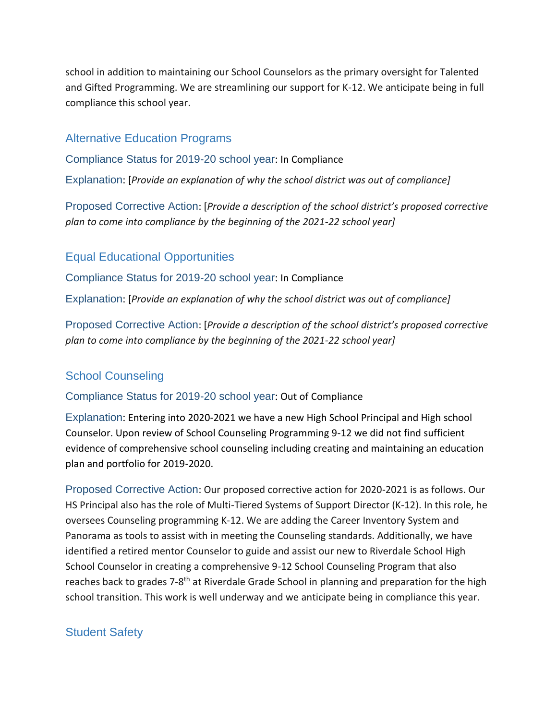school in addition to maintaining our School Counselors as the primary oversight for Talented and Gifted Programming. We are streamlining our support for K-12. We anticipate being in full compliance this school year.

### Alternative Education Programs

Compliance Status for 2019-20 school year: In Compliance

Explanation: [*Provide an explanation of why the school district was out of compliance]*

Proposed Corrective Action: [*Provide a description of the school district's proposed corrective plan to come into compliance by the beginning of the 2021-22 school year]*

## Equal Educational Opportunities

Compliance Status for 2019-20 school year: In Compliance

Explanation: [*Provide an explanation of why the school district was out of compliance]*

Proposed Corrective Action: [*Provide a description of the school district's proposed corrective plan to come into compliance by the beginning of the 2021-22 school year]*

## School Counseling

#### Compliance Status for 2019-20 school year: Out of Compliance

Explanation: Entering into 2020-2021 we have a new High School Principal and High school Counselor. Upon review of School Counseling Programming 9-12 we did not find sufficient evidence of comprehensive school counseling including creating and maintaining an education plan and portfolio for 2019-2020.

Proposed Corrective Action: Our proposed corrective action for 2020-2021 is as follows. Our HS Principal also has the role of Multi-Tiered Systems of Support Director (K-12). In this role, he oversees Counseling programming K-12. We are adding the Career Inventory System and Panorama as tools to assist with in meeting the Counseling standards. Additionally, we have identified a retired mentor Counselor to guide and assist our new to Riverdale School High School Counselor in creating a comprehensive 9-12 School Counseling Program that also reaches back to grades 7-8<sup>th</sup> at Riverdale Grade School in planning and preparation for the high school transition. This work is well underway and we anticipate being in compliance this year.

## Student Safety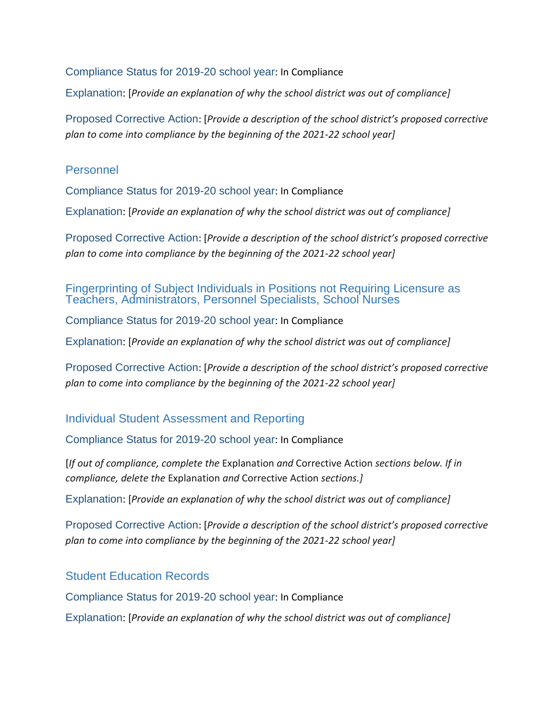Compliance Status for 2019-20 school year: In Compliance

Explanation: [*Provide an explanation of why the school district was out of compliance]*

Proposed Corrective Action: [*Provide a description of the school district's proposed corrective plan to come into compliance by the beginning of the 2021-22 school year]*

#### Personnel

Compliance Status for 2019-20 school year: In Compliance

Explanation: [*Provide an explanation of why the school district was out of compliance]*

Proposed Corrective Action: [*Provide a description of the school district's proposed corrective plan to come into compliance by the beginning of the 2021-22 school year]*

#### Fingerprinting of Subject Individuals in Positions not Requiring Licensure as Teachers, Administrators, Personnel Specialists, School Nurses

Compliance Status for 2019-20 school year: In Compliance

Explanation: [*Provide an explanation of why the school district was out of compliance]*

Proposed Corrective Action: [*Provide a description of the school district's proposed corrective plan to come into compliance by the beginning of the 2021-22 school year]*

#### Individual Student Assessment and Reporting

Compliance Status for 2019-20 school year: In Compliance

[*If out of compliance, complete the* Explanation *and* Corrective Action *sections below. If in compliance, delete the* Explanation *and* Corrective Action *sections.]*

Explanation: [*Provide an explanation of why the school district was out of compliance]*

Proposed Corrective Action: [*Provide a description of the school district's proposed corrective plan to come into compliance by the beginning of the 2021-22 school year]*

Student Education Records

Compliance Status for 2019-20 school year: In Compliance

Explanation: [*Provide an explanation of why the school district was out of compliance]*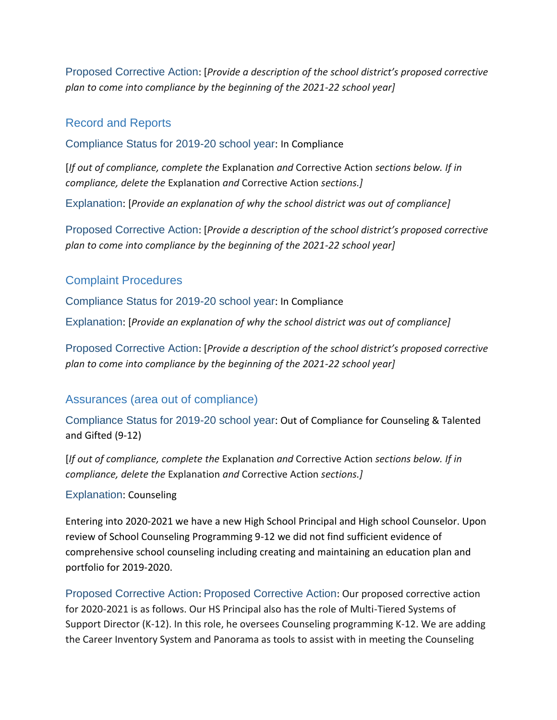Proposed Corrective Action: [*Provide a description of the school district's proposed corrective plan to come into compliance by the beginning of the 2021-22 school year]*

#### Record and Reports

Compliance Status for 2019-20 school year: In Compliance

[*If out of compliance, complete the* Explanation *and* Corrective Action *sections below. If in compliance, delete the* Explanation *and* Corrective Action *sections.]*

Explanation: [*Provide an explanation of why the school district was out of compliance]*

Proposed Corrective Action: [*Provide a description of the school district's proposed corrective plan to come into compliance by the beginning of the 2021-22 school year]*

#### Complaint Procedures

Compliance Status for 2019-20 school year: In Compliance

Explanation: [*Provide an explanation of why the school district was out of compliance]*

Proposed Corrective Action: [*Provide a description of the school district's proposed corrective plan to come into compliance by the beginning of the 2021-22 school year]*

## Assurances (area out of compliance)

Compliance Status for 2019-20 school year: Out of Compliance for Counseling & Talented and Gifted (9-12)

[*If out of compliance, complete the* Explanation *and* Corrective Action *sections below. If in compliance, delete the* Explanation *and* Corrective Action *sections.]*

#### Explanation: Counseling

Entering into 2020-2021 we have a new High School Principal and High school Counselor. Upon review of School Counseling Programming 9-12 we did not find sufficient evidence of comprehensive school counseling including creating and maintaining an education plan and portfolio for 2019-2020.

Proposed Corrective Action: Proposed Corrective Action: Our proposed corrective action for 2020-2021 is as follows. Our HS Principal also has the role of Multi-Tiered Systems of Support Director (K-12). In this role, he oversees Counseling programming K-12. We are adding the Career Inventory System and Panorama as tools to assist with in meeting the Counseling